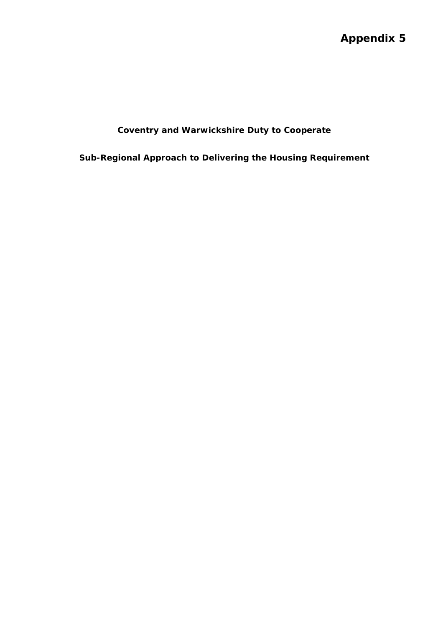# **Appendix 5**

## **Coventry and Warwickshire Duty to Cooperate**

**Sub-Regional Approach to Delivering the Housing Requirement**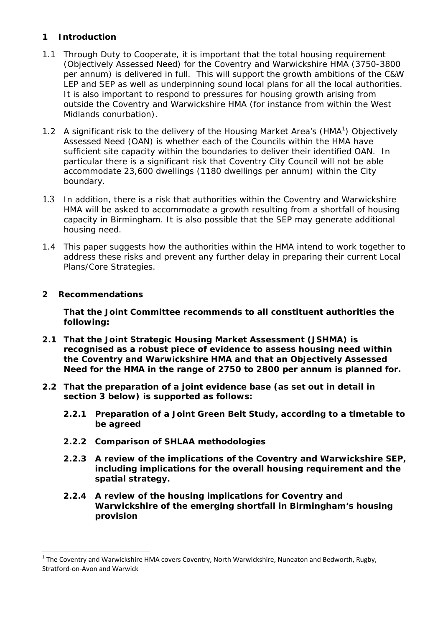## **1 Introduction**

- 1.1 Through Duty to Cooperate, it is important that the total housing requirement (Objectively Assessed Need) for the Coventry and Warwickshire HMA (3750-3800 per annum) is delivered in full. This will support the growth ambitions of the C&W LEP and SEP as well as underpinning sound local plans for all the local authorities. It is also important to respond to pressures for housing growth arising from outside the Coventry and Warwickshire HMA (for instance from within the West Midlands conurbation).
- 1.2 A significant risk to the delivery of the Housing Market Area's (HMA $<sup>1</sup>$ ) Objectively</sup> Assessed Need (OAN) is whether each of the Councils within the HMA have sufficient site capacity within the boundaries to deliver their identified OAN. In particular there is a significant risk that Coventry City Council will not be able accommodate 23,600 dwellings (1180 dwellings per annum) within the City boundary.
- 1.3 In addition, there is a risk that authorities within the Coventry and Warwickshire HMA will be asked to accommodate a growth resulting from a shortfall of housing capacity in Birmingham. It is also possible that the SEP may generate additional housing need.
- 1.4 This paper suggests how the authorities within the HMA intend to work together to address these risks and prevent any further delay in preparing their current Local Plans/Core Strategies.

### **2 Recommendations**

**That the Joint Committee recommends to all constituent authorities the following:** 

- **2.1 That the Joint Strategic Housing Market Assessment (JSHMA) is recognised as a robust piece of evidence to assess housing need within the Coventry and Warwickshire HMA and that an Objectively Assessed Need for the HMA in the range of 2750 to 2800 per annum is planned for.**
- **2.2 That the preparation of a joint evidence base (as set out in detail in section 3 below) is supported as follows:** 
	- **2.2.1 Preparation of a Joint Green Belt Study, according to a timetable to be agreed**
	- **2.2.2 Comparison of SHLAA methodologies**
	- **2.2.3 A review of the implications of the Coventry and Warwickshire SEP, including implications for the overall housing requirement and the spatial strategy.**
	- **2.2.4 A review of the housing implications for Coventry and Warwickshire of the emerging shortfall in Birmingham's housing provision**

 $1$  The Coventry and Warwickshire HMA covers Coventry, North Warwickshire, Nuneaton and Bedworth, Rugby, Stratford‐on‐Avon and Warwick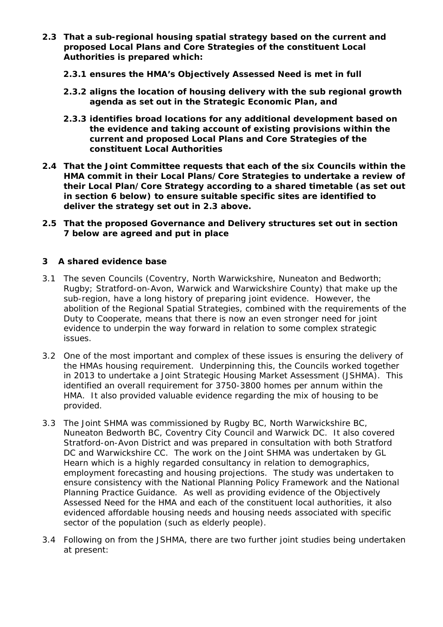- **2.3 That a sub-regional housing spatial strategy based on the current and proposed Local Plans and Core Strategies of the constituent Local Authorities is prepared which:** 
	- **2.3.1 ensures the HMA's Objectively Assessed Need is met in full**
	- **2.3.2 aligns the location of housing delivery with the sub regional growth agenda as set out in the Strategic Economic Plan, and**
	- **2.3.3 identifies broad locations for any additional development based on the evidence and taking account of existing provisions within the current and proposed Local Plans and Core Strategies of the constituent Local Authorities**
- **2.4 That the Joint Committee requests that each of the six Councils within the HMA commit in their Local Plans/Core Strategies to undertake a review of their Local Plan/Core Strategy according to a shared timetable (as set out in section 6 below) to ensure suitable specific sites are identified to deliver the strategy set out in 2.3 above.**
- **2.5 That the proposed Governance and Delivery structures set out in section 7 below are agreed and put in place**

#### **3 A shared evidence base**

- 3.1 The seven Councils (Coventry, North Warwickshire, Nuneaton and Bedworth; Rugby; Stratford-on-Avon, Warwick and Warwickshire County) that make up the sub-region, have a long history of preparing joint evidence. However, the abolition of the Regional Spatial Strategies, combined with the requirements of the Duty to Cooperate, means that there is now an even stronger need for joint evidence to underpin the way forward in relation to some complex strategic issues.
- 3.2 One of the most important and complex of these issues is ensuring the delivery of the HMAs housing requirement. Underpinning this, the Councils worked together in 2013 to undertake a Joint Strategic Housing Market Assessment (JSHMA). This identified an overall requirement for 3750-3800 homes per annum within the HMA. It also provided valuable evidence regarding the mix of housing to be provided.
- 3.3 The Joint SHMA was commissioned by Rugby BC, North Warwickshire BC, Nuneaton Bedworth BC, Coventry City Council and Warwick DC. It also covered Stratford-on-Avon District and was prepared in consultation with both Stratford DC and Warwickshire CC. The work on the Joint SHMA was undertaken by GL Hearn which is a highly regarded consultancy in relation to demographics, employment forecasting and housing projections. The study was undertaken to ensure consistency with the National Planning Policy Framework and the National Planning Practice Guidance. As well as providing evidence of the Objectively Assessed Need for the HMA and each of the constituent local authorities, it also evidenced affordable housing needs and housing needs associated with specific sector of the population (such as elderly people).
- 3.4 Following on from the JSHMA, there are two further joint studies being undertaken at present: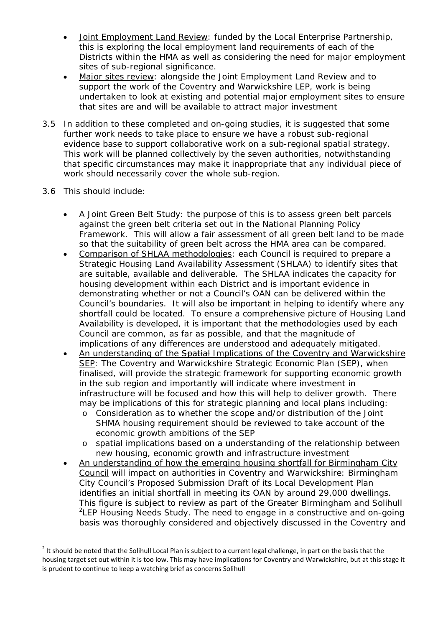- Joint Employment Land Review: funded by the Local Enterprise Partnership, this is exploring the local employment land requirements of each of the Districts within the HMA as well as considering the need for major employment sites of sub-regional significance.
- Major sites review: alongside the Joint Employment Land Review and to support the work of the Coventry and Warwickshire LEP, work is being undertaken to look at existing and potential major employment sites to ensure that sites are and will be available to attract major investment
- 3.5 In addition to these completed and on-going studies, it is suggested that some further work needs to take place to ensure we have a robust sub-regional evidence base to support collaborative work on a sub-regional spatial strategy. This work will be planned collectively by the seven authorities, notwithstanding that specific circumstances may make it inappropriate that any individual piece of work should necessarily cover the whole sub-region.
- 3.6 This should include:

- A Joint Green Belt Study: the purpose of this is to assess green belt parcels against the green belt criteria set out in the National Planning Policy Framework. This will allow a fair assessment of all green belt land to be made so that the suitability of green belt across the HMA area can be compared.
- Comparison of SHLAA methodologies: each Council is required to prepare a Strategic Housing Land Availability Assessment (SHLAA) to identify sites that are suitable, available and deliverable. The SHLAA indicates the capacity for housing development within each District and is important evidence in demonstrating whether or not a Council's OAN can be delivered within the Council's boundaries. It will also be important in helping to identify where any shortfall could be located. To ensure a comprehensive picture of Housing Land Availability is developed, it is important that the methodologies used by each Council are common, as far as possible, and that the magnitude of implications of any differences are understood and adequately mitigated.
- An understanding of the Spatial Implications of the Coventry and Warwickshire SEP: The Coventry and Warwickshire Strategic Economic Plan (SEP), when finalised, will provide the strategic framework for supporting economic growth in the sub region and importantly will indicate where investment in infrastructure will be focused and how this will help to deliver growth. There may be implications of this for strategic planning and local plans including:
	- o Consideration as to whether the scope and/or distribution of the Joint SHMA housing requirement should be reviewed to take account of the economic growth ambitions of the SEP
	- o spatial implications based on a understanding of the relationship between new housing, economic growth and infrastructure investment
- An understanding of how the emerging housing shortfall for Birmingham City Council will impact on authorities in Coventry and Warwickshire: Birmingham City Council's Proposed Submission Draft of its Local Development Plan identifies an initial shortfall in meeting its OAN by around 29,000 dwellings. This figure is subject to review as part of the Greater Birmingham and Solihull <sup>2</sup>LEP Housing Needs Study. The need to engage in a constructive and on-going basis was thoroughly considered and objectively discussed in the Coventry and

 $2$  It should be noted that the Solihull Local Plan is subject to a current legal challenge, in part on the basis that the housing target set out within it is too low. This may have implications for Coventry and Warwickshire, but at this stage it is prudent to continue to keep a watching brief as concerns Solihull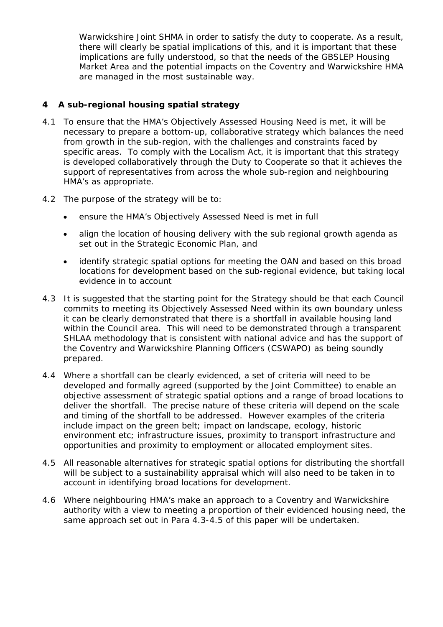Warwickshire Joint SHMA in order to satisfy the duty to cooperate. As a result, there will clearly be spatial implications of this, and it is important that these implications are fully understood, so that the needs of the GBSLEP Housing Market Area and the potential impacts on the Coventry and Warwickshire HMA are managed in the most sustainable way.

## **4 A sub-regional housing spatial strategy**

- 4.1 To ensure that the HMA's Objectively Assessed Housing Need is met, it will be necessary to prepare a bottom-up, collaborative strategy which balances the need from growth in the sub-region, with the challenges and constraints faced by specific areas. To comply with the Localism Act, it is important that this strategy is developed collaboratively through the Duty to Cooperate so that it achieves the support of representatives from across the whole sub-region and neighbouring HMA's as appropriate.
- 4.2 The purpose of the strategy will be to:
	- ensure the HMA's Objectively Assessed Need is met in full
	- align the location of housing delivery with the sub regional growth agenda as set out in the Strategic Economic Plan, and
	- identify strategic spatial options for meeting the OAN and based on this broad locations for development based on the sub-regional evidence, but taking local evidence in to account
- 4.3 It is suggested that the starting point for the Strategy should be that each Council commits to meeting its Objectively Assessed Need within its own boundary unless it can be clearly demonstrated that there is a shortfall in available housing land within the Council area. This will need to be demonstrated through a transparent SHLAA methodology that is consistent with national advice and has the support of the Coventry and Warwickshire Planning Officers (CSWAPO) as being soundly prepared.
- 4.4 Where a shortfall can be clearly evidenced, a set of criteria will need to be developed and formally agreed (supported by the Joint Committee) to enable an objective assessment of strategic spatial options and a range of broad locations to deliver the shortfall. The precise nature of these criteria will depend on the scale and timing of the shortfall to be addressed. However examples of the criteria include impact on the green belt; impact on landscape, ecology, historic environment etc; infrastructure issues, proximity to transport infrastructure and opportunities and proximity to employment or allocated employment sites.
- 4.5 All reasonable alternatives for strategic spatial options for distributing the shortfall will be subject to a sustainability appraisal which will also need to be taken in to account in identifying broad locations for development.
- 4.6 Where neighbouring HMA's make an approach to a Coventry and Warwickshire authority with a view to meeting a proportion of their evidenced housing need, the same approach set out in Para 4.3-4.5 of this paper will be undertaken.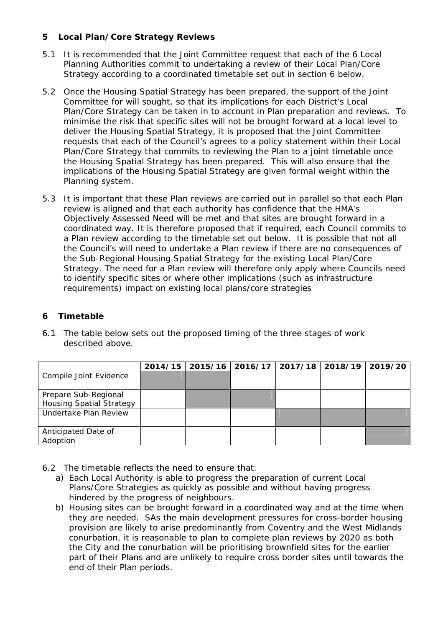## **5 Local Plan/Core Strategy Reviews**

- 5.1 It is recommended that the Joint Committee request that each of the 6 Local Planning Authorities commit to undertaking a review of their Local Plan/Core Strategy according to a coordinated timetable set out in section 6 below.
- 5.2 Once the Housing Spatial Strategy has been prepared, the support of the Joint Committee for will sought, so that its implications for each District's Local Plan/Core Strategy can be taken in to account in Plan preparation and reviews. To minimise the risk that specific sites will not be brought forward at a local level to deliver the Housing Spatial Strategy, it is proposed that the Joint Committee requests that each of the Council's agrees to a policy statement within their Local Plan/Core Strategy that commits to reviewing the Plan to a joint timetable once the Housing Spatial Strategy has been prepared. This will also ensure that the implications of the Housing Spatial Strategy are given formal weight within the Planning system.
- 5.3 It is important that these Plan reviews are carried out in parallel so that each Plan review is aligned and that each authority has confidence that the HMA's Objectively Assessed Need will be met and that sites are brought forward in a coordinated way. It is therefore proposed that if required, each Council commits to a Plan review according to the timetable set out below. It is possible that not all the Council's will need to undertake a Plan review if there are no consequences of the Sub-Regional Housing Spatial Strategy for the existing Local Plan/Core Strategy. The need for a Plan review will therefore only apply where Councils need to identify specific sites or where other implications (such as infrastructure requirements) impact on existing local plans/core strategies

## **6 Timetable**

6.1 The table below sets out the proposed timing of the three stages of work described above.

|                                                         | 2014/15   2015/16 | 2016/17 | 2017/18 2018/19 | 2019/20 |
|---------------------------------------------------------|-------------------|---------|-----------------|---------|
| Compile Joint Evidence                                  |                   |         |                 |         |
| Prepare Sub-Regional<br><b>Housing Spatial Strategy</b> |                   |         |                 |         |
| Undertake Plan Review                                   |                   |         |                 |         |
| Anticipated Date of<br>Adoption                         |                   |         |                 |         |

- 6.2 The timetable reflects the need to ensure that:
	- a) Each Local Authority is able to progress the preparation of current Local Plans/Core Strategies as quickly as possible and without having progress hindered by the progress of neighbours.
	- b) Housing sites can be brought forward in a coordinated way and at the time when they are needed. SAs the main development pressures for cross-border housing provision are likely to arise predominantly from Coventry and the West Midlands conurbation, it is reasonable to plan to complete plan reviews by 2020 as both the City and the conurbation will be prioritising brownfield sites for the earlier part of their Plans and are unlikely to require cross border sites until towards the end of their Plan periods.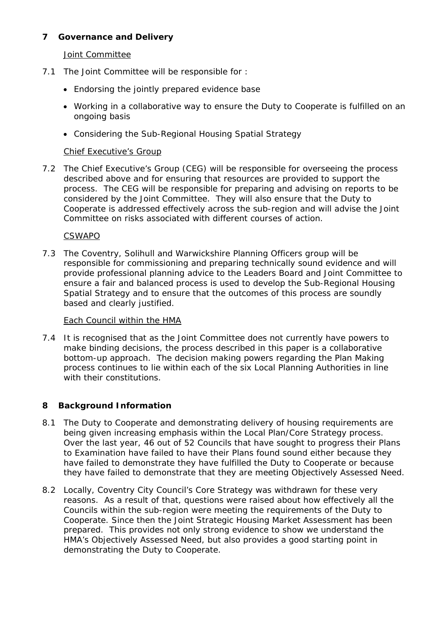## **7 Governance and Delivery**

Joint Committee

- 7.1 The Joint Committee will be responsible for :
	- Endorsing the jointly prepared evidence base
	- Working in a collaborative way to ensure the Duty to Cooperate is fulfilled on an ongoing basis
	- Considering the Sub-Regional Housing Spatial Strategy

### Chief Executive's Group

7.2 The Chief Executive's Group (CEG) will be responsible for overseeing the process described above and for ensuring that resources are provided to support the process. The CEG will be responsible for preparing and advising on reports to be considered by the Joint Committee. They will also ensure that the Duty to Cooperate is addressed effectively across the sub-region and will advise the Joint Committee on risks associated with different courses of action.

#### CSWAPO

7.3 The Coventry, Solihull and Warwickshire Planning Officers group will be responsible for commissioning and preparing technically sound evidence and will provide professional planning advice to the Leaders Board and Joint Committee to ensure a fair and balanced process is used to develop the Sub-Regional Housing Spatial Strategy and to ensure that the outcomes of this process are soundly based and clearly justified.

#### Each Council within the HMA

7.4 It is recognised that as the Joint Committee does not currently have powers to make binding decisions, the process described in this paper is a collaborative bottom-up approach. The decision making powers regarding the Plan Making process continues to lie within each of the six Local Planning Authorities in line with their constitutions.

### **8 Background Information**

- 8.1 The Duty to Cooperate and demonstrating delivery of housing requirements are being given increasing emphasis within the Local Plan/Core Strategy process. Over the last year, 46 out of 52 Councils that have sought to progress their Plans to Examination have failed to have their Plans found sound either because they have failed to demonstrate they have fulfilled the Duty to Cooperate or because they have failed to demonstrate that they are meeting Objectively Assessed Need.
- 8.2 Locally, Coventry City Council's Core Strategy was withdrawn for these very reasons. As a result of that, questions were raised about how effectively all the Councils within the sub-region were meeting the requirements of the Duty to Cooperate. Since then the Joint Strategic Housing Market Assessment has been prepared. This provides not only strong evidence to show we understand the HMA's Objectively Assessed Need, but also provides a good starting point in demonstrating the Duty to Cooperate.